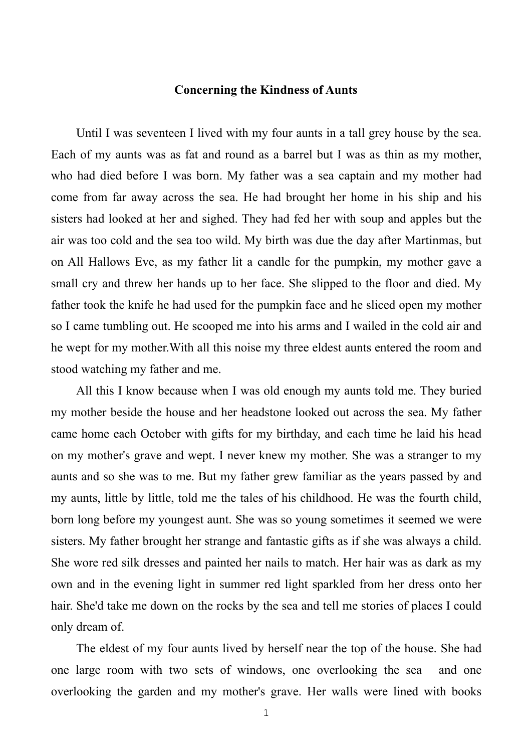## **Concerning the Kindness of Aunts**

 Until I was seventeen I lived with my four aunts in a tall grey house by the sea. Each of my aunts was as fat and round as a barrel but I was as thin as my mother, who had died before I was born. My father was a sea captain and my mother had come from far away across the sea. He had brought her home in his ship and his sisters had looked at her and sighed. They had fed her with soup and apples but the air was too cold and the sea too wild. My birth was due the day after Martinmas, but on All Hallows Eve, as my father lit a candle for the pumpkin, my mother gave a small cry and threw her hands up to her face. She slipped to the floor and died. My father took the knife he had used for the pumpkin face and he sliced open my mother so I came tumbling out. He scooped me into his arms and I wailed in the cold air and he wept for my mother.With all this noise my three eldest aunts entered the room and stood watching my father and me.

 All this I know because when I was old enough my aunts told me. They buried my mother beside the house and her headstone looked out across the sea. My father came home each October with gifts for my birthday, and each time he laid his head on my mother's grave and wept. I never knew my mother. She was a stranger to my aunts and so she was to me. But my father grew familiar as the years passed by and my aunts, little by little, told me the tales of his childhood. He was the fourth child, born long before my youngest aunt. She was so young sometimes it seemed we were sisters. My father brought her strange and fantastic gifts as if she was always a child. She wore red silk dresses and painted her nails to match. Her hair was as dark as my own and in the evening light in summer red light sparkled from her dress onto her hair. She'd take me down on the rocks by the sea and tell me stories of places I could only dream of.

 The eldest of my four aunts lived by herself near the top of the house. She had one large room with two sets of windows, one overlooking the sea and one overlooking the garden and my mother's grave. Her walls were lined with books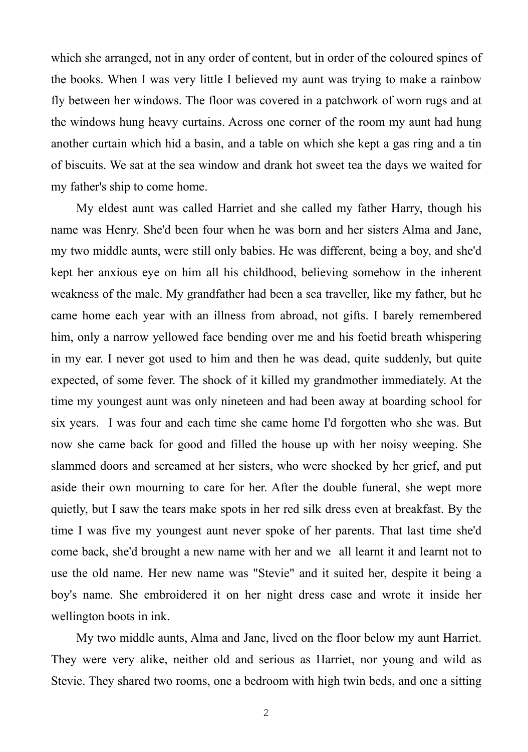which she arranged, not in any order of content, but in order of the coloured spines of the books. When I was very little I believed my aunt was trying to make a rainbow fly between her windows. The floor was covered in a patchwork of worn rugs and at the windows hung heavy curtains. Across one corner of the room my aunt had hung another curtain which hid a basin, and a table on which she kept a gas ring and a tin of biscuits. We sat at the sea window and drank hot sweet tea the days we waited for my father's ship to come home.

 My eldest aunt was called Harriet and she called my father Harry, though his name was Henry. She'd been four when he was born and her sisters Alma and Jane, my two middle aunts, were still only babies. He was different, being a boy, and she'd kept her anxious eye on him all his childhood, believing somehow in the inherent weakness of the male. My grandfather had been a sea traveller, like my father, but he came home each year with an illness from abroad, not gifts. I barely remembered him, only a narrow yellowed face bending over me and his foetid breath whispering in my ear. I never got used to him and then he was dead, quite suddenly, but quite expected, of some fever. The shock of it killed my grandmother immediately. At the time my youngest aunt was only nineteen and had been away at boarding school for six years. I was four and each time she came home I'd forgotten who she was. But now she came back for good and filled the house up with her noisy weeping. She slammed doors and screamed at her sisters, who were shocked by her grief, and put aside their own mourning to care for her. After the double funeral, she wept more quietly, but I saw the tears make spots in her red silk dress even at breakfast. By the time I was five my youngest aunt never spoke of her parents. That last time she'd come back, she'd brought a new name with her and we all learnt it and learnt not to use the old name. Her new name was "Stevie" and it suited her, despite it being a boy's name. She embroidered it on her night dress case and wrote it inside her wellington boots in ink.

 My two middle aunts, Alma and Jane, lived on the floor below my aunt Harriet. They were very alike, neither old and serious as Harriet, nor young and wild as Stevie. They shared two rooms, one a bedroom with high twin beds, and one a sitting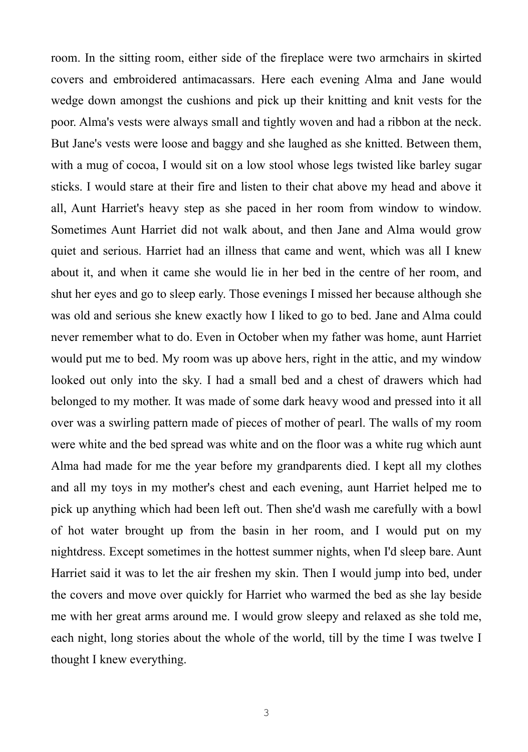room. In the sitting room, either side of the fireplace were two armchairs in skirted covers and embroidered antimacassars. Here each evening Alma and Jane would wedge down amongst the cushions and pick up their knitting and knit vests for the poor. Alma's vests were always small and tightly woven and had a ribbon at the neck. But Jane's vests were loose and baggy and she laughed as she knitted. Between them, with a mug of cocoa, I would sit on a low stool whose legs twisted like barley sugar sticks. I would stare at their fire and listen to their chat above my head and above it all, Aunt Harriet's heavy step as she paced in her room from window to window. Sometimes Aunt Harriet did not walk about, and then Jane and Alma would grow quiet and serious. Harriet had an illness that came and went, which was all I knew about it, and when it came she would lie in her bed in the centre of her room, and shut her eyes and go to sleep early. Those evenings I missed her because although she was old and serious she knew exactly how I liked to go to bed. Jane and Alma could never remember what to do. Even in October when my father was home, aunt Harriet would put me to bed. My room was up above hers, right in the attic, and my window looked out only into the sky. I had a small bed and a chest of drawers which had belonged to my mother. It was made of some dark heavy wood and pressed into it all over was a swirling pattern made of pieces of mother of pearl. The walls of my room were white and the bed spread was white and on the floor was a white rug which aunt Alma had made for me the year before my grandparents died. I kept all my clothes and all my toys in my mother's chest and each evening, aunt Harriet helped me to pick up anything which had been left out. Then she'd wash me carefully with a bowl of hot water brought up from the basin in her room, and I would put on my nightdress. Except sometimes in the hottest summer nights, when I'd sleep bare. Aunt Harriet said it was to let the air freshen my skin. Then I would jump into bed, under the covers and move over quickly for Harriet who warmed the bed as she lay beside me with her great arms around me. I would grow sleepy and relaxed as she told me, each night, long stories about the whole of the world, till by the time I was twelve I thought I knew everything.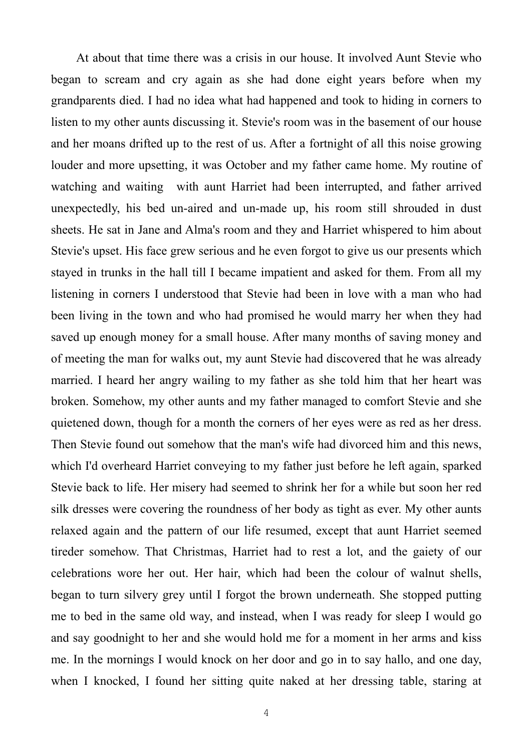At about that time there was a crisis in our house. It involved Aunt Stevie who began to scream and cry again as she had done eight years before when my grandparents died. I had no idea what had happened and took to hiding in corners to listen to my other aunts discussing it. Stevie's room was in the basement of our house and her moans drifted up to the rest of us. After a fortnight of all this noise growing louder and more upsetting, it was October and my father came home. My routine of watching and waiting with aunt Harriet had been interrupted, and father arrived unexpectedly, his bed un-aired and un-made up, his room still shrouded in dust sheets. He sat in Jane and Alma's room and they and Harriet whispered to him about Stevie's upset. His face grew serious and he even forgot to give us our presents which stayed in trunks in the hall till I became impatient and asked for them. From all my listening in corners I understood that Stevie had been in love with a man who had been living in the town and who had promised he would marry her when they had saved up enough money for a small house. After many months of saving money and of meeting the man for walks out, my aunt Stevie had discovered that he was already married. I heard her angry wailing to my father as she told him that her heart was broken. Somehow, my other aunts and my father managed to comfort Stevie and she quietened down, though for a month the corners of her eyes were as red as her dress. Then Stevie found out somehow that the man's wife had divorced him and this news, which I'd overheard Harriet conveying to my father just before he left again, sparked Stevie back to life. Her misery had seemed to shrink her for a while but soon her red silk dresses were covering the roundness of her body as tight as ever. My other aunts relaxed again and the pattern of our life resumed, except that aunt Harriet seemed tireder somehow. That Christmas, Harriet had to rest a lot, and the gaiety of our celebrations wore her out. Her hair, which had been the colour of walnut shells, began to turn silvery grey until I forgot the brown underneath. She stopped putting me to bed in the same old way, and instead, when I was ready for sleep I would go and say goodnight to her and she would hold me for a moment in her arms and kiss me. In the mornings I would knock on her door and go in to say hallo, and one day, when I knocked, I found her sitting quite naked at her dressing table, staring at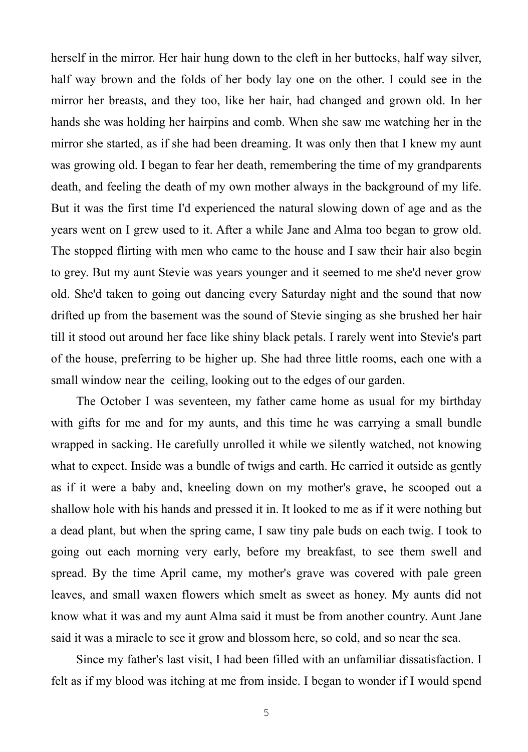herself in the mirror. Her hair hung down to the cleft in her buttocks, half way silver, half way brown and the folds of her body lay one on the other. I could see in the mirror her breasts, and they too, like her hair, had changed and grown old. In her hands she was holding her hairpins and comb. When she saw me watching her in the mirror she started, as if she had been dreaming. It was only then that I knew my aunt was growing old. I began to fear her death, remembering the time of my grandparents death, and feeling the death of my own mother always in the background of my life. But it was the first time I'd experienced the natural slowing down of age and as the years went on I grew used to it. After a while Jane and Alma too began to grow old. The stopped flirting with men who came to the house and I saw their hair also begin to grey. But my aunt Stevie was years younger and it seemed to me she'd never grow old. She'd taken to going out dancing every Saturday night and the sound that now drifted up from the basement was the sound of Stevie singing as she brushed her hair till it stood out around her face like shiny black petals. I rarely went into Stevie's part of the house, preferring to be higher up. She had three little rooms, each one with a small window near the ceiling, looking out to the edges of our garden.

 The October I was seventeen, my father came home as usual for my birthday with gifts for me and for my aunts, and this time he was carrying a small bundle wrapped in sacking. He carefully unrolled it while we silently watched, not knowing what to expect. Inside was a bundle of twigs and earth. He carried it outside as gently as if it were a baby and, kneeling down on my mother's grave, he scooped out a shallow hole with his hands and pressed it in. It looked to me as if it were nothing but a dead plant, but when the spring came, I saw tiny pale buds on each twig. I took to going out each morning very early, before my breakfast, to see them swell and spread. By the time April came, my mother's grave was covered with pale green leaves, and small waxen flowers which smelt as sweet as honey. My aunts did not know what it was and my aunt Alma said it must be from another country. Aunt Jane said it was a miracle to see it grow and blossom here, so cold, and so near the sea.

 Since my father's last visit, I had been filled with an unfamiliar dissatisfaction. I felt as if my blood was itching at me from inside. I began to wonder if I would spend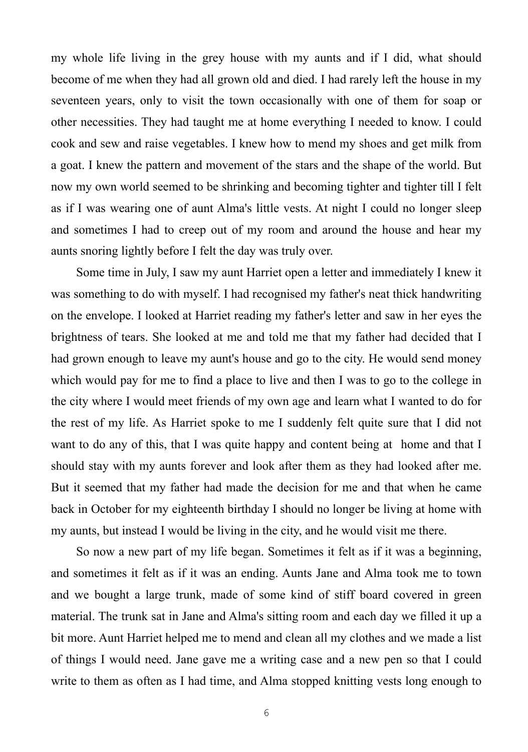my whole life living in the grey house with my aunts and if I did, what should become of me when they had all grown old and died. I had rarely left the house in my seventeen years, only to visit the town occasionally with one of them for soap or other necessities. They had taught me at home everything I needed to know. I could cook and sew and raise vegetables. I knew how to mend my shoes and get milk from a goat. I knew the pattern and movement of the stars and the shape of the world. But now my own world seemed to be shrinking and becoming tighter and tighter till I felt as if I was wearing one of aunt Alma's little vests. At night I could no longer sleep and sometimes I had to creep out of my room and around the house and hear my aunts snoring lightly before I felt the day was truly over.

 Some time in July, I saw my aunt Harriet open a letter and immediately I knew it was something to do with myself. I had recognised my father's neat thick handwriting on the envelope. I looked at Harriet reading my father's letter and saw in her eyes the brightness of tears. She looked at me and told me that my father had decided that I had grown enough to leave my aunt's house and go to the city. He would send money which would pay for me to find a place to live and then I was to go to the college in the city where I would meet friends of my own age and learn what I wanted to do for the rest of my life. As Harriet spoke to me I suddenly felt quite sure that I did not want to do any of this, that I was quite happy and content being at home and that I should stay with my aunts forever and look after them as they had looked after me. But it seemed that my father had made the decision for me and that when he came back in October for my eighteenth birthday I should no longer be living at home with my aunts, but instead I would be living in the city, and he would visit me there.

 So now a new part of my life began. Sometimes it felt as if it was a beginning, and sometimes it felt as if it was an ending. Aunts Jane and Alma took me to town and we bought a large trunk, made of some kind of stiff board covered in green material. The trunk sat in Jane and Alma's sitting room and each day we filled it up a bit more. Aunt Harriet helped me to mend and clean all my clothes and we made a list of things I would need. Jane gave me a writing case and a new pen so that I could write to them as often as I had time, and Alma stopped knitting vests long enough to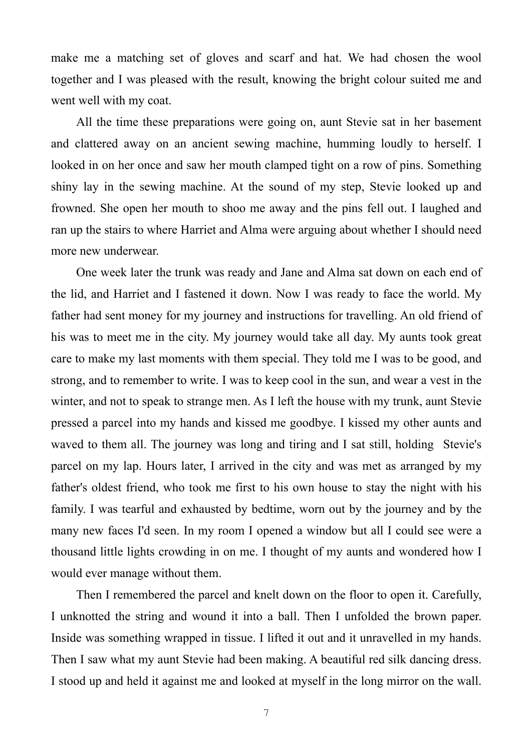make me a matching set of gloves and scarf and hat. We had chosen the wool together and I was pleased with the result, knowing the bright colour suited me and went well with my coat.

 All the time these preparations were going on, aunt Stevie sat in her basement and clattered away on an ancient sewing machine, humming loudly to herself. I looked in on her once and saw her mouth clamped tight on a row of pins. Something shiny lay in the sewing machine. At the sound of my step, Stevie looked up and frowned. She open her mouth to shoo me away and the pins fell out. I laughed and ran up the stairs to where Harriet and Alma were arguing about whether I should need more new underwear.

 One week later the trunk was ready and Jane and Alma sat down on each end of the lid, and Harriet and I fastened it down. Now I was ready to face the world. My father had sent money for my journey and instructions for travelling. An old friend of his was to meet me in the city. My journey would take all day. My aunts took great care to make my last moments with them special. They told me I was to be good, and strong, and to remember to write. I was to keep cool in the sun, and wear a vest in the winter, and not to speak to strange men. As I left the house with my trunk, aunt Stevie pressed a parcel into my hands and kissed me goodbye. I kissed my other aunts and waved to them all. The journey was long and tiring and I sat still, holding Stevie's parcel on my lap. Hours later, I arrived in the city and was met as arranged by my father's oldest friend, who took me first to his own house to stay the night with his family. I was tearful and exhausted by bedtime, worn out by the journey and by the many new faces I'd seen. In my room I opened a window but all I could see were a thousand little lights crowding in on me. I thought of my aunts and wondered how I would ever manage without them.

 Then I remembered the parcel and knelt down on the floor to open it. Carefully, I unknotted the string and wound it into a ball. Then I unfolded the brown paper. Inside was something wrapped in tissue. I lifted it out and it unravelled in my hands. Then I saw what my aunt Stevie had been making. A beautiful red silk dancing dress. I stood up and held it against me and looked at myself in the long mirror on the wall.